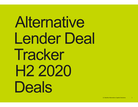# Alternative Lender Deal Tracker H<sub>2</sub>2020 **Deals**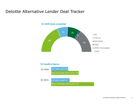### Deloitte Alternative Lender Deal Tracker



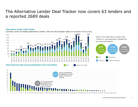## The Alternative Lender Deal Tracker now covers 63 lenders and a reported 2689 deals S and<br>ated for<br>2689<br>Total deals<br>completed The Alternative Lender Deal Tracker now<br>a reported 2689 deals<br>Alternative Lender DealTracker<br>Currently covers 63 leading Alternative Lenders. Only UK and European deals are included in th<br>160<br>140<br>140<br>140<br>118<br>118<br>118<br>118<br>11 The Alternative Lender Deal Tracker now covers 63 lenders and<br>
a reported 2689 deals<br>
Alternative Lender Deal Tracker<br>
Currently covers 63 leading Alternative Lenders. Only UK and European deals are included in the survey





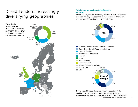## Direct Lenders increasingly<br>
Fotal deals across industries (Last 12<br>
Within the UK, the the Business, Infrastructure & Professional diversifying geographies



### months)

Total deals across industries (Last 12<br>months)<br>Within the UK, the the Business, Infrastructure & Professional<br>Services industry has been the dominant user of Alternative<br>Lending with 25% followed by TMT with 22%. **Total deals across industries (Last 12<br>
months)**<br>
Within the UK, the the Business, Infrastructure & Professional<br>
Services industry has been the dominant user of Alternative<br>
Lending with 25% followed by TMT with 22%. Services industry has been the dominant user of Alternative



Healthcare & Life Sciences, Business, Infrastructure & Professional Services, Financial Services and Consumer Goods In the rest of Europe there are 5 main industries: TMT, © Deloitte Alternative Capital Solutions

4